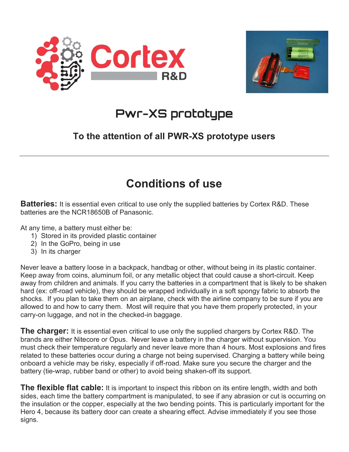



# **Pwr-XS prototype**

#### To the attention of all PWR-XS prototype users

#### Conditions of use

**Batteries:** It is essential even critical to use only the supplied batteries by Cortex R&D. These batteries are the NCR18650B of Panasonic.

At any time, a battery must either be:

- 1) Stored in its provided plastic container
- 2) In the GoPro, being in use
- 3) In its charger

Never leave a battery loose in a backpack, handbag or other, without being in its plastic container. Keep away from coins, aluminum foil, or any metallic object that could cause a short-circuit. Keep away from children and animals. If you carry the batteries in a compartment that is likely to be shaken hard (ex: off-road vehicle), they should be wrapped individually in a soft spongy fabric to absorb the shocks. If you plan to take them on an airplane, check with the airline company to be sure if you are allowed to and how to carry them. Most will require that you have them properly protected, in your carry-on luggage, and not in the checked-in baggage.

**The charger:** It is essential even critical to use only the supplied chargers by Cortex R&D. The brands are either Nitecore or Opus. Never leave a battery in the charger without supervision. You must check their temperature regularly and never leave more than 4 hours. Most explosions and fires related to these batteries occur during a charge not being supervised. Charging a battery while being onboard a vehicle may be risky, especially if off-road. Make sure you secure the charger and the battery (tie-wrap, rubber band or other) to avoid being shaken-off its support.

**The flexible flat cable:** It is important to inspect this ribbon on its entire length, width and both sides, each time the battery compartment is manipulated, to see if any abrasion or cut is occurring on the insulation or the copper, especially at the two bending points. This is particularly important for the Hero 4, because its battery door can create a shearing effect. Advise immediately if you see those signs.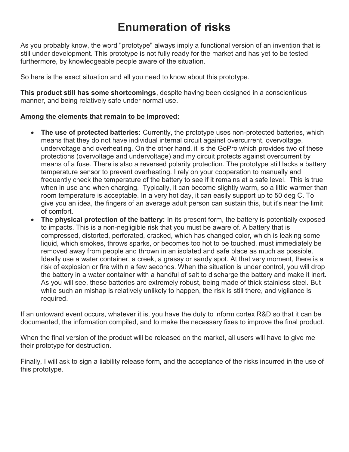## Enumeration of risks

As you probably know, the word "prototype" always imply a functional version of an invention that is still under development. This prototype is not fully ready for the market and has yet to be tested furthermore, by knowledgeable people aware of the situation.

So here is the exact situation and all you need to know about this prototype.

This product still has some shortcomings, despite having been designed in a conscientious manner, and being relatively safe under normal use.

#### Among the elements that remain to be improved:

- The use of protected batteries: Currently, the prototype uses non-protected batteries, which means that they do not have individual internal circuit against overcurrent, overvoltage, undervoltage and overheating. On the other hand, it is the GoPro which provides two of these protections (overvoltage and undervoltage) and my circuit protects against overcurrent by means of a fuse. There is also a reversed polarity protection. The prototype still lacks a battery temperature sensor to prevent overheating. I rely on your cooperation to manually and frequently check the temperature of the battery to see if it remains at a safe level. This is true when in use and when charging. Typically, it can become slightly warm, so a little warmer than room temperature is acceptable. In a very hot day, it can easily support up to 50 deg C. To give you an idea, the fingers of an average adult person can sustain this, but it's near the limit of comfort.
- The physical protection of the battery: In its present form, the battery is potentially exposed to impacts. This is a non-negligible risk that you must be aware of. A battery that is compressed, distorted, perforated, cracked, which has changed color, which is leaking some liquid, which smokes, throws sparks, or becomes too hot to be touched, must immediately be removed away from people and thrown in an isolated and safe place as much as possible. Ideally use a water container, a creek, a grassy or sandy spot. At that very moment, there is a risk of explosion or fire within a few seconds. When the situation is under control, you will drop the battery in a water container with a handful of salt to discharge the battery and make it inert. As you will see, these batteries are extremely robust, being made of thick stainless steel. But while such an mishap is relatively unlikely to happen, the risk is still there, and vigilance is required.

If an untoward event occurs, whatever it is, you have the duty to inform cortex R&D so that it can be documented, the information compiled, and to make the necessary fixes to improve the final product.

When the final version of the product will be released on the market, all users will have to give me their prototype for destruction.

Finally, I will ask to sign a liability release form, and the acceptance of the risks incurred in the use of this prototype.